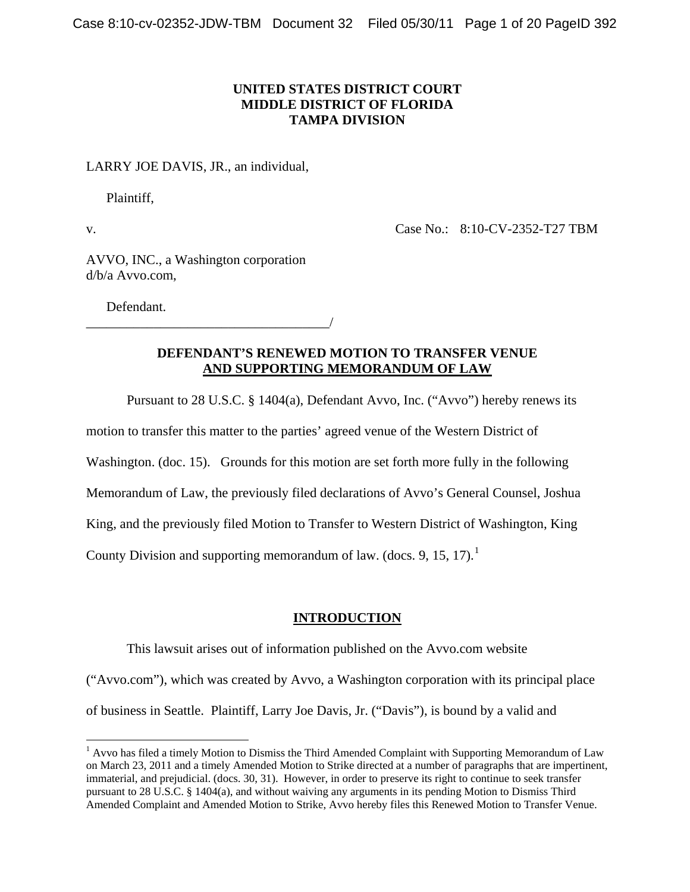# **UNITED STATES DISTRICT COURT MIDDLE DISTRICT OF FLORIDA TAMPA DIVISION**

## LARRY JOE DAVIS, JR., an individual,

Plaintiff,

v.

1

Case No.: 8:10-CV-2352-T27 TBM

AVVO, INC., a Washington corporation d/b/a Avvo.com,

Defendant.

\_\_\_\_\_\_\_\_\_\_\_\_\_\_\_\_\_\_\_\_\_\_\_\_\_\_\_\_\_\_\_\_\_\_\_\_/

# **DEFENDANT'S RENEWED MOTION TO TRANSFER VENUE AND SUPPORTING MEMORANDUM OF LAW**

Pursuant to 28 U.S.C. § 1404(a), Defendant Avvo, Inc. ("Avvo") hereby renews its

motion to transfer this matter to the parties' agreed venue of the Western District of

Washington. (doc. 15). Grounds for this motion are set forth more fully in the following

Memorandum of Law, the previously filed declarations of Avvo's General Counsel, Joshua

King, and the previously filed Motion to Transfer to Western District of Washington, King

County Division and supporting memorandum of law. (docs. 9, [1](#page-0-0)5, 17).<sup>1</sup>

# **INTRODUCTION**

This lawsuit arises out of information published on the Avvo.com website

("Avvo.com"), which was created by Avvo, a Washington corporation with its principal place of business in Seattle. Plaintiff, Larry Joe Davis, Jr. ("Davis"), is bound by a valid and

<span id="page-0-1"></span><span id="page-0-0"></span><sup>&</sup>lt;sup>1</sup> Avvo has filed a timely Motion to Dismiss the Third Amended Complaint with Supporting Memorandum of Law on March 23, 2011 and a timely Amended Motion to Strike directed at a number of paragraphs that are impertinent, immaterial, and prejudicial. (docs. 30, 31). However, in order to preserve its right to continue to seek transfer pursuant to 28 U.S.C. § 1404(a), and without waiving any arguments in its pending Motion to Dismiss Third Amended Complaint and Amended Motion to Strike, Avvo hereby files this Renewed Motion to Transfer Venue.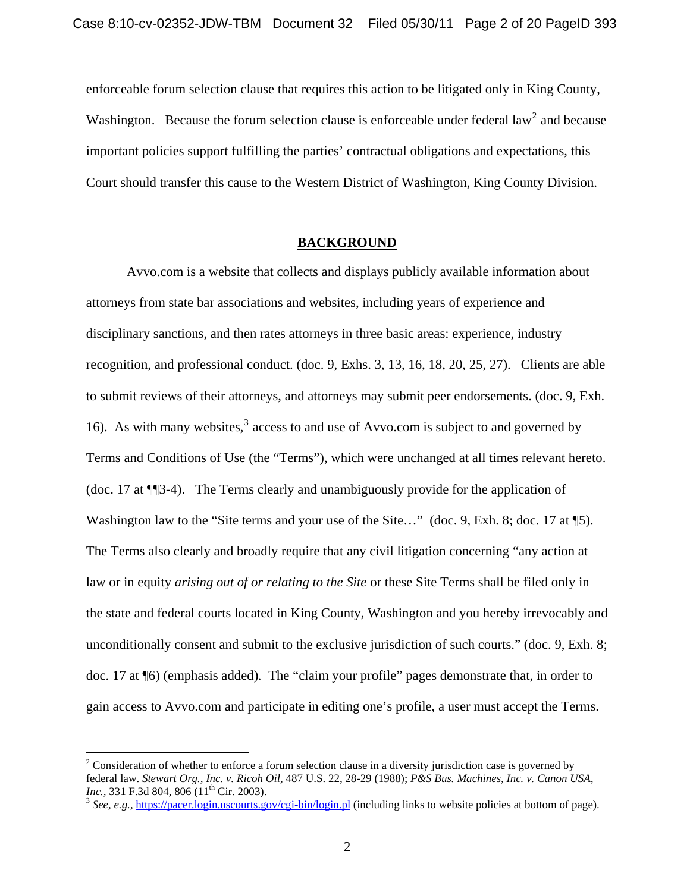enforceable forum selection clause that requires this action to be litigated only in King County, Washington. Because the forum selection clause is enforceable under federal law<sup>[2](#page-0-1)</sup> and because important policies support fulfilling the parties' contractual obligations and expectations, this Court should transfer this cause to the Western District of Washington, King County Division.

#### **BACKGROUND**

Avvo.com is a website that collects and displays publicly available information about attorneys from state bar associations and websites, including years of experience and disciplinary sanctions, and then rates attorneys in three basic areas: experience, industry recognition, and professional conduct. (doc. 9, Exhs. 3, 13, 16, 18, 20, 25, 27). Clients are able to submit reviews of their attorneys, and attorneys may submit peer endorsements. (doc. 9, Exh. 16). As with many websites, $3$  access to and use of Avvo.com is subject to and governed by Terms and Conditions of Use (the "Terms"), which were unchanged at all times relevant hereto. (doc. 17 at ¶¶3-4). The Terms clearly and unambiguously provide for the application of Washington law to the "Site terms and your use of the Site..." (doc. 9, Exh. 8; doc. 17 at \[5). The Terms also clearly and broadly require that any civil litigation concerning "any action at law or in equity *arising out of or relating to the Site* or these Site Terms shall be filed only in the state and federal courts located in King County, Washington and you hereby irrevocably and unconditionally consent and submit to the exclusive jurisdiction of such courts." (doc. 9, Exh. 8; doc. 17 at ¶6) (emphasis added)*.* The "claim your profile" pages demonstrate that, in order to gain access to Avvo.com and participate in editing one's profile, a user must accept the Terms.

<span id="page-1-1"></span> $\overline{a}$ 

<sup>&</sup>lt;sup>2</sup> Consideration of whether to enforce a forum selection clause in a diversity jurisdiction case is governed by federal law. *Stewart Org., Inc. v. Ricoh Oil,* 487 U.S. 22, 28-29 (1988); *P&S Bus. Machines, Inc. v. Canon USA, Inc.,* 331 F.3d 804, 806 (11<sup>th</sup> Cir. 2003).<br><sup>3</sup> *See, e.g.,* <https://pacer.login.uscourts.gov/cgi-bin/login.pl> (including links to website policies at bottom of page).

<span id="page-1-0"></span>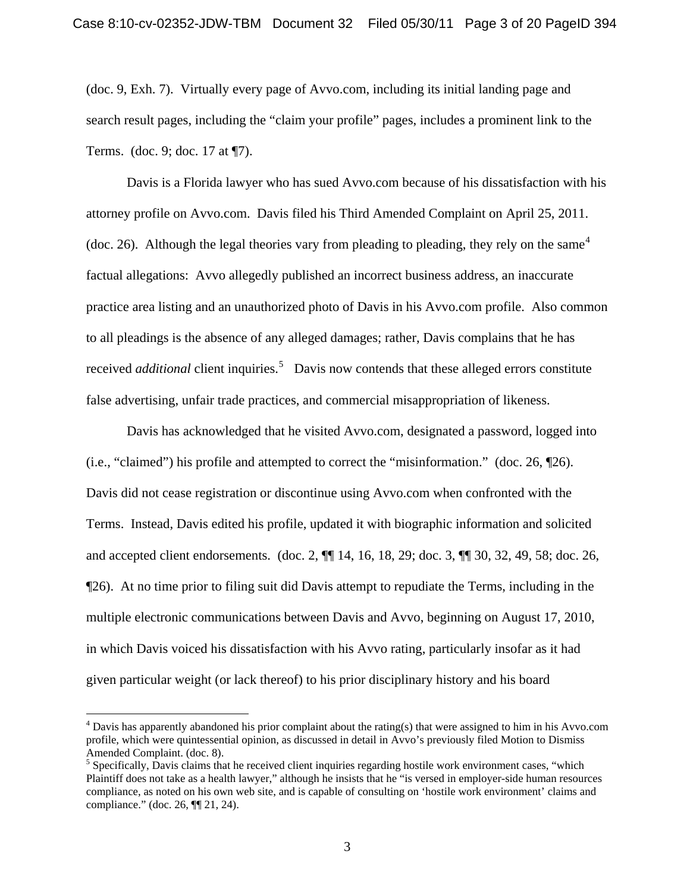(doc. 9, Exh. 7). Virtually every page of Avvo.com, including its initial landing page and search result pages, including the "claim your profile" pages, includes a prominent link to the Terms. (doc. 9; doc. 17 at ¶7).

Davis is a Florida lawyer who has sued Avvo.com because of his dissatisfaction with his attorney profile on Avvo.com. Davis filed his Third Amended Complaint on April 25, 2011. (doc. 26). Although the legal theories vary from pleading to pleading, they rely on the same<sup>[4](#page-1-1)</sup> factual allegations: Avvo allegedly published an incorrect business address, an inaccurate practice area listing and an unauthorized photo of Davis in his Avvo.com profile. Also common to all pleadings is the absence of any alleged damages; rather, Davis complains that he has received *additional* client inquiries.<sup>[5](#page-2-0)</sup> Davis now contends that these alleged errors constitute false advertising, unfair trade practices, and commercial misappropriation of likeness.

Davis has acknowledged that he visited Avvo.com, designated a password, logged into (i.e., "claimed") his profile and attempted to correct the "misinformation." (doc. 26, ¶26). Davis did not cease registration or discontinue using Avvo.com when confronted with the Terms. Instead, Davis edited his profile, updated it with biographic information and solicited and accepted client endorsements. (doc. 2, ¶¶ 14, 16, 18, 29; doc. 3, ¶¶ 30, 32, 49, 58; doc. 26, ¶26). At no time prior to filing suit did Davis attempt to repudiate the Terms, including in the multiple electronic communications between Davis and Avvo, beginning on August 17, 2010, in which Davis voiced his dissatisfaction with his Avvo rating, particularly insofar as it had given particular weight (or lack thereof) to his prior disciplinary history and his board

<u>.</u>

 $4$  Davis has apparently abandoned his prior complaint about the rating(s) that were assigned to him in his Avvo.com profile, which were quintessential opinion, as discussed in detail in Avvo's previously filed Motion to Dismiss Amended Complaint. (doc. 8).

<span id="page-2-1"></span><span id="page-2-0"></span> $<sup>5</sup>$  Specifically, Davis claims that he received client inquiries regarding hostile work environment cases, "which</sup> Plaintiff does not take as a health lawyer," although he insists that he "is versed in employer-side human resources compliance, as noted on his own web site, and is capable of consulting on 'hostile work environment' claims and compliance." (doc. 26, ¶¶ 21, 24).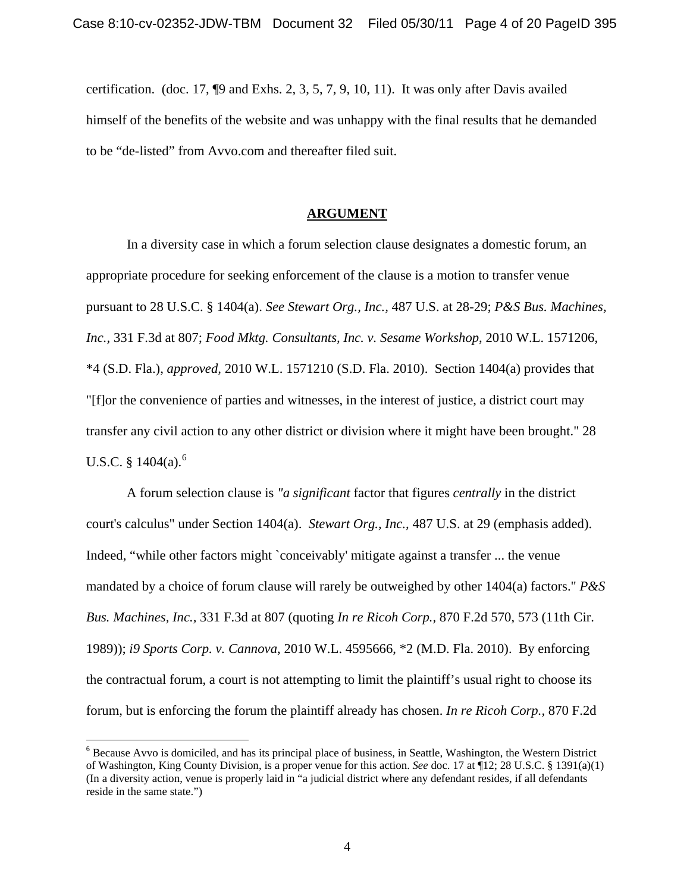certification. (doc. 17,  $\P9$  and Exhs. 2, 3, 5, 7, 9, 10, 11). It was only after Davis availed himself of the benefits of the website and was unhappy with the final results that he demanded to be "de-listed" from Avvo.com and thereafter filed suit.

### **ARGUMENT**

In a diversity case in which a forum selection clause designates a domestic forum, an appropriate procedure for seeking enforcement of the clause is a motion to transfer venue pursuant to 28 U.S.C. § 1404(a). *See Stewart Org., Inc.,* 487 U.S. at 28-29; *P&S Bus. Machines, Inc.,* 331 F.3d at 807; *Food Mktg. Consultants, Inc. v. Sesame Workshop*, 2010 W.L. 1571206, \*4 (S.D. Fla.), *approved,* 2010 W.L. 1571210 (S.D. Fla. 2010). Section 1404(a) provides that "[f]or the convenience of parties and witnesses, in the interest of justice, a district court may transfer any civil action to any other district or division where it might have been brought." 28 U.S.C.  $§$  1404(a).<sup>[6](#page-2-1)</sup>

A forum selection clause is *"a significant* factor that figures *centrally* in the district court's calculus" under Section 1404(a). *Stewart Org., Inc.,* 487 U.S. at 29 (emphasis added). Indeed, "while other factors might `conceivably' mitigate against a transfer ... the venue mandated by a choice of forum clause will rarely be outweighed by other 1404(a) factors." *P&S Bus. Machines, Inc.,* 331 F.3d at 807 (quoting *In re Ricoh Corp.,* 870 F.2d 570, 573 (11th Cir. 1989)); *i9 Sports Corp. v. Cannova*, 2010 W.L. 4595666, \*2 (M.D. Fla. 2010). By enforcing the contractual forum, a court is not attempting to limit the plaintiff's usual right to choose its forum, but is enforcing the forum the plaintiff already has chosen. *In re Ricoh Corp.,* 870 F.2d

<span id="page-3-0"></span><sup>&</sup>lt;sup>6</sup> Because Avvo is domiciled, and has its principal place of business, in Seattle, Washington, the Western District of Washington, King County Division, is a proper venue for this action. *See* doc. 17 at ¶12; 28 U.S.C. § 1391(a)(1) (In a diversity action, venue is properly laid in "a judicial district where any defendant resides, if all defendants reside in the same state.")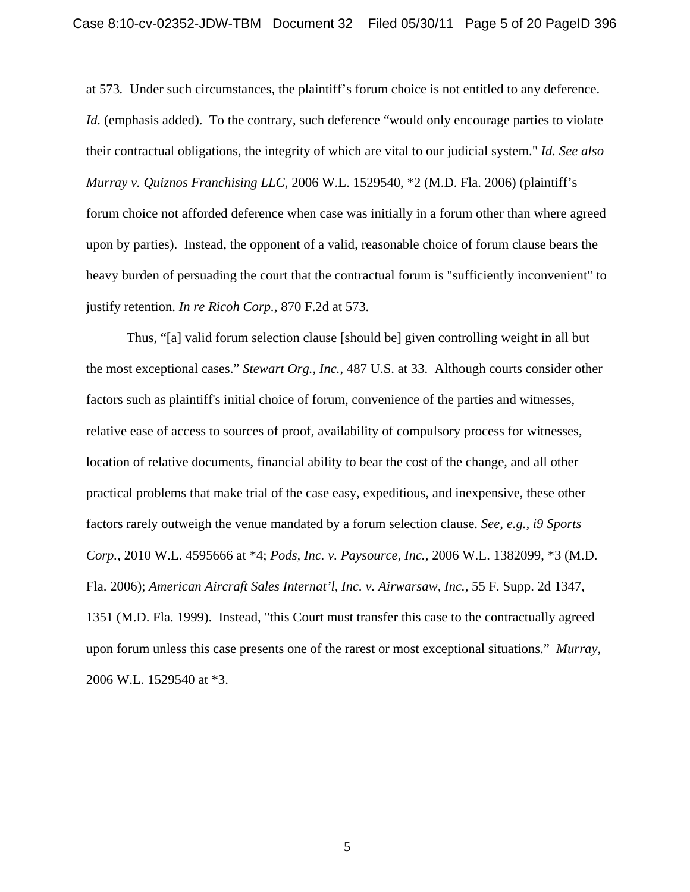at 573*.* Under such circumstances, the plaintiff's forum choice is not entitled to any deference. *Id.* (emphasis added). To the contrary, such deference "would only encourage parties to violate their contractual obligations, the integrity of which are vital to our judicial system." *Id. See also Murray v. Quiznos Franchising LLC*, 2006 W.L. 1529540, \*2 (M.D. Fla. 2006) (plaintiff's forum choice not afforded deference when case was initially in a forum other than where agreed upon by parties). Instead, the opponent of a valid, reasonable choice of forum clause bears the heavy burden of persuading the court that the contractual forum is "sufficiently inconvenient" to justify retention. *In re Ricoh Corp.,* 870 F.2d at 573*.*

Thus, "[a] valid forum selection clause [should be] given controlling weight in all but the most exceptional cases." *Stewart Org., Inc.*, 487 U.S. at 33. Although courts consider other factors such as plaintiff's initial choice of forum, convenience of the parties and witnesses, relative ease of access to sources of proof, availability of compulsory process for witnesses, location of relative documents, financial ability to bear the cost of the change, and all other practical problems that make trial of the case easy, expeditious, and inexpensive, these other factors rarely outweigh the venue mandated by a forum selection clause. *See, e.g., i9 Sports Corp.*, 2010 W.L. 4595666 at \*4; *Pods, Inc. v. Paysource, Inc.,* 2006 W.L. 1382099, \*3 (M.D. Fla. 2006); *American Aircraft Sales Internat'l, Inc. v. Airwarsaw, Inc.,* 55 F. Supp. 2d 1347, 1351 (M.D. Fla. 1999). Instead, "this Court must transfer this case to the contractually agreed upon forum unless this case presents one of the rarest or most exceptional situations." *Murray,*  2006 W.L. 1529540 at \*3.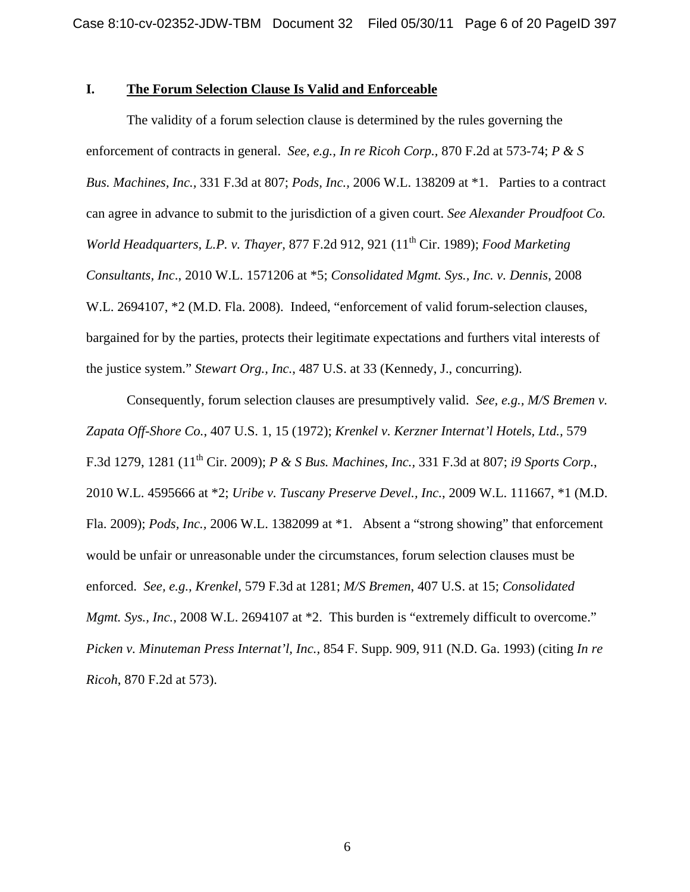### **I. The Forum Selection Clause Is Valid and Enforceable**

The validity of a forum selection clause is determined by the rules governing the enforcement of contracts in general. *See, e.g., In re Ricoh Corp.,* 870 F.2d at 573-74; *P & S Bus. Machines, Inc.,* 331 F.3d at 807; *Pods, Inc.,* 2006 W.L. 138209 at \*1. Parties to a contract can agree in advance to submit to the jurisdiction of a given court. *See Alexander Proudfoot Co. World Headquarters, L.P. v. Thayer,* 877 F.2d 912, 921 (11th Cir. 1989); *Food Marketing Consultants, Inc*., 2010 W.L. 1571206 at \*5; *Consolidated Mgmt. Sys., Inc. v. Dennis*, 2008 W.L. 2694107, \*2 (M.D. Fla. 2008). Indeed, "enforcement of valid forum-selection clauses, bargained for by the parties, protects their legitimate expectations and furthers vital interests of the justice system." *Stewart Org., Inc.*, 487 U.S. at 33 (Kennedy, J., concurring).

Consequently, forum selection clauses are presumptively valid. *See, e.g., M/S Bremen v. Zapata Off-Shore Co.*, 407 U.S. 1, 15 (1972); *Krenkel v. Kerzner Internat'l Hotels, Ltd.,* 579 F.3d 1279, 1281 (11th Cir. 2009); *P & S Bus. Machines, Inc.,* 331 F.3d at 807; *i9 Sports Corp.*, 2010 W.L. 4595666 at \*2; *Uribe v. Tuscany Preserve Devel., Inc.*, 2009 W.L. 111667, \*1 (M.D. Fla. 2009); *Pods, Inc.,* 2006 W.L. 1382099 at \*1. Absent a "strong showing" that enforcement would be unfair or unreasonable under the circumstances, forum selection clauses must be enforced. *See, e.g., Krenkel*, 579 F.3d at 1281; *M/S Bremen*, 407 U.S. at 15; *Consolidated Mgmt. Sys., Inc., 2008 W.L. 2694107 at \*2. This burden is "extremely difficult to overcome." Picken v. Minuteman Press Internat'l, Inc.,* 854 F. Supp. 909, 911 (N.D. Ga. 1993) (citing *In re Ricoh*, 870 F.2d at 573).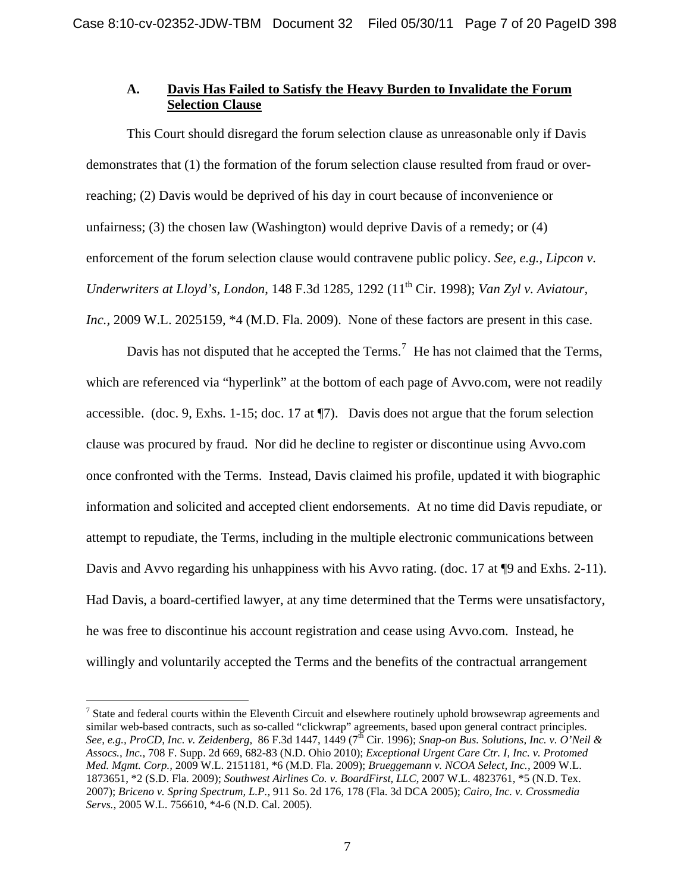# **A. Davis Has Failed to Satisfy the Heavy Burden to Invalidate the Forum Selection Clause**

This Court should disregard the forum selection clause as unreasonable only if Davis demonstrates that (1) the formation of the forum selection clause resulted from fraud or overreaching; (2) Davis would be deprived of his day in court because of inconvenience or unfairness; (3) the chosen law (Washington) would deprive Davis of a remedy; or (4) enforcement of the forum selection clause would contravene public policy. *See, e.g., Lipcon v. Underwriters at Lloyd's, London, 148 F.3d 1285, 1292 (11<sup>th</sup> Cir. 1998); <i>Van Zyl v. Aviatour, Inc.,* 2009 W.L. 2025159, \*4 (M.D. Fla. 2009). None of these factors are present in this case.

Davis has not disputed that he accepted the Terms.<sup>[7](#page-3-0)</sup> He has not claimed that the Terms, which are referenced via "hyperlink" at the bottom of each page of Avvo.com, were not readily accessible. (doc. 9, Exhs. 1-15; doc. 17 at ¶7). Davis does not argue that the forum selection clause was procured by fraud. Nor did he decline to register or discontinue using Avvo.com once confronted with the Terms. Instead, Davis claimed his profile, updated it with biographic information and solicited and accepted client endorsements. At no time did Davis repudiate, or attempt to repudiate, the Terms, including in the multiple electronic communications between Davis and Avvo regarding his unhappiness with his Avvo rating. (doc. 17 at ¶9 and Exhs. 2-11). Had Davis, a board-certified lawyer, at any time determined that the Terms were unsatisfactory, he was free to discontinue his account registration and cease using Avvo.com. Instead, he willingly and voluntarily accepted the Terms and the benefits of the contractual arrangement

 $\overline{a}$ 

<span id="page-6-0"></span> $<sup>7</sup>$  State and federal courts within the Eleventh Circuit and elsewhere routinely uphold browsewrap agreements and</sup> similar web-based contracts, such as so-called "clickwrap" agreements, based upon general contract principles. *See, e.g., ProCD, Inc. v. Zeidenberg, 86 F.3d 1447, 1449 (7<sup>th</sup> Cir. 1996); <i>Snap-on Bus. Solutions, Inc. v. O'Neil & Assocs., Inc.,* 708 F. Supp. 2d 669, 682-83 (N.D. Ohio 2010); *Exceptional Urgent Care Ctr. I, Inc. v. Protomed Med. Mgmt. Corp.,* 2009 W.L. 2151181, \*6 (M.D. Fla. 2009); *Brueggemann v. NCOA Select, Inc.,* 2009 W.L. 1873651, \*2 (S.D. Fla. 2009); *Southwest Airlines Co. v. BoardFirst, LLC*, 2007 W.L. 4823761, \*5 (N.D. Tex. 2007); *Briceno v. Spring Spectrum, L.P.,* 911 So. 2d 176, 178 (Fla. 3d DCA 2005); *Cairo, Inc. v. Crossmedia Servs.,* 2005 W.L. 756610, \*4-6 (N.D. Cal. 2005).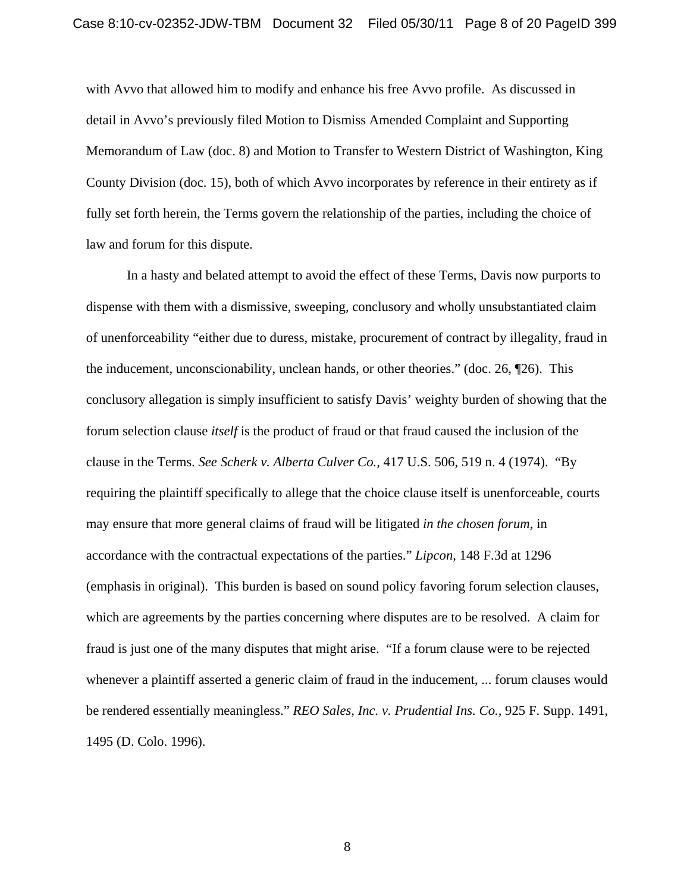with Avvo that allowed him to modify and enhance his free Avvo profile. As discussed in detail in Avvo's previously filed Motion to Dismiss Amended Complaint and Supporting Memorandum of Law (doc. 8) and Motion to Transfer to Western District of Washington, King County Division (doc. 15), both of which Avvo incorporates by reference in their entirety as if fully set forth herein, the Terms govern the relationship of the parties, including the choice of law and forum for this dispute.

In a hasty and belated attempt to avoid the effect of these Terms, Davis now purports to dispense with them with a dismissive, sweeping, conclusory and wholly unsubstantiated claim of unenforceability "either due to duress, mistake, procurement of contract by illegality, fraud in the inducement, unconscionability, unclean hands, or other theories." (doc. 26, ¶26). This conclusory allegation is simply insufficient to satisfy Davis' weighty burden of showing that the forum selection clause *itself* is the product of fraud or that fraud caused the inclusion of the clause in the Terms. *See Scherk v. Alberta Culver Co.,* 417 U.S. 506, 519 n. 4 (1974). "By requiring the plaintiff specifically to allege that the choice clause itself is unenforceable, courts may ensure that more general claims of fraud will be litigated *in the chosen forum,* in accordance with the contractual expectations of the parties." *Lipcon*, 148 F.3d at 1296 (emphasis in original). This burden is based on sound policy favoring forum selection clauses, which are agreements by the parties concerning where disputes are to be resolved. A claim for fraud is just one of the many disputes that might arise. "If a forum clause were to be rejected whenever a plaintiff asserted a generic claim of fraud in the inducement, ... forum clauses would be rendered essentially meaningless." *REO Sales, Inc. v. Prudential Ins. Co.,* 925 F. Supp. 1491, 1495 (D. Colo. 1996).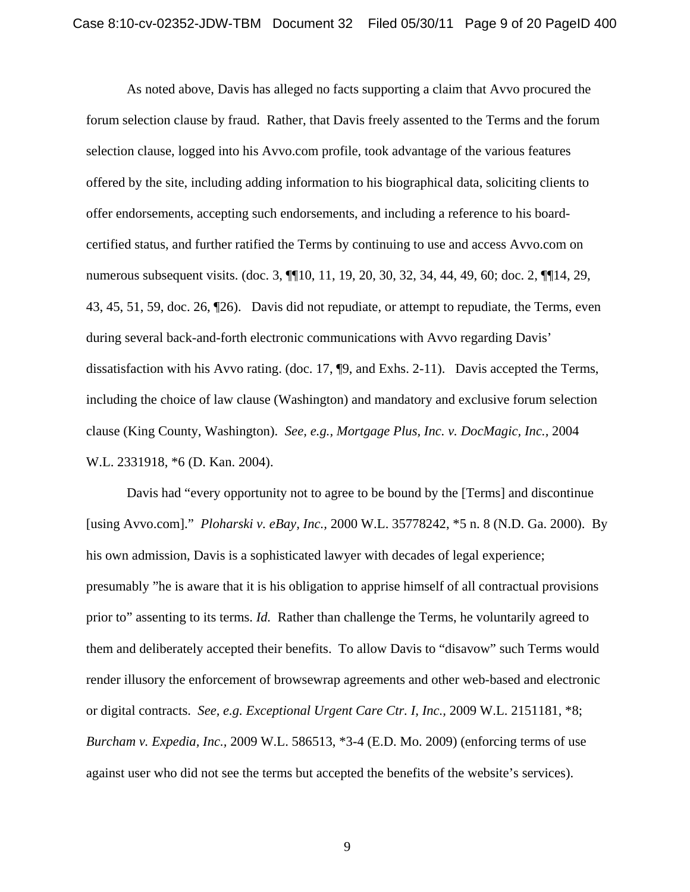As noted above, Davis has alleged no facts supporting a claim that Avvo procured the forum selection clause by fraud. Rather, that Davis freely assented to the Terms and the forum selection clause, logged into his Avvo.com profile, took advantage of the various features offered by the site, including adding information to his biographical data, soliciting clients to offer endorsements, accepting such endorsements, and including a reference to his boardcertified status, and further ratified the Terms by continuing to use and access Avvo.com on numerous subsequent visits. (doc. 3,  $\P$ [10, 11, 19, 20, 30, 32, 34, 44, 49, 60; doc. 2,  $\P$ [14, 29, 43, 45, 51, 59, doc. 26, ¶26). Davis did not repudiate, or attempt to repudiate, the Terms, even during several back-and-forth electronic communications with Avvo regarding Davis' dissatisfaction with his Avvo rating. (doc. 17, ¶9, and Exhs. 2-11). Davis accepted the Terms, including the choice of law clause (Washington) and mandatory and exclusive forum selection clause (King County, Washington). *See, e.g., Mortgage Plus, Inc. v. DocMagic, Inc.,* 2004 W.L. 2331918, \*6 (D. Kan. 2004).

Davis had "every opportunity not to agree to be bound by the [Terms] and discontinue [using Avvo.com]." *Ploharski v. eBay, Inc.,* 2000 W.L. 35778242, \*5 n. 8 (N.D. Ga. 2000). By his own admission, Davis is a sophisticated lawyer with decades of legal experience; presumably "he is aware that it is his obligation to apprise himself of all contractual provisions prior to" assenting to its terms. *Id.* Rather than challenge the Terms, he voluntarily agreed to them and deliberately accepted their benefits. To allow Davis to "disavow" such Terms would render illusory the enforcement of browsewrap agreements and other web-based and electronic or digital contracts. *See, e.g. Exceptional Urgent Care Ctr. I, Inc.,* 2009 W.L. 2151181, \*8; *Burcham v. Expedia, Inc.,* 2009 W.L. 586513, \*3-4 (E.D. Mo. 2009) (enforcing terms of use against user who did not see the terms but accepted the benefits of the website's services).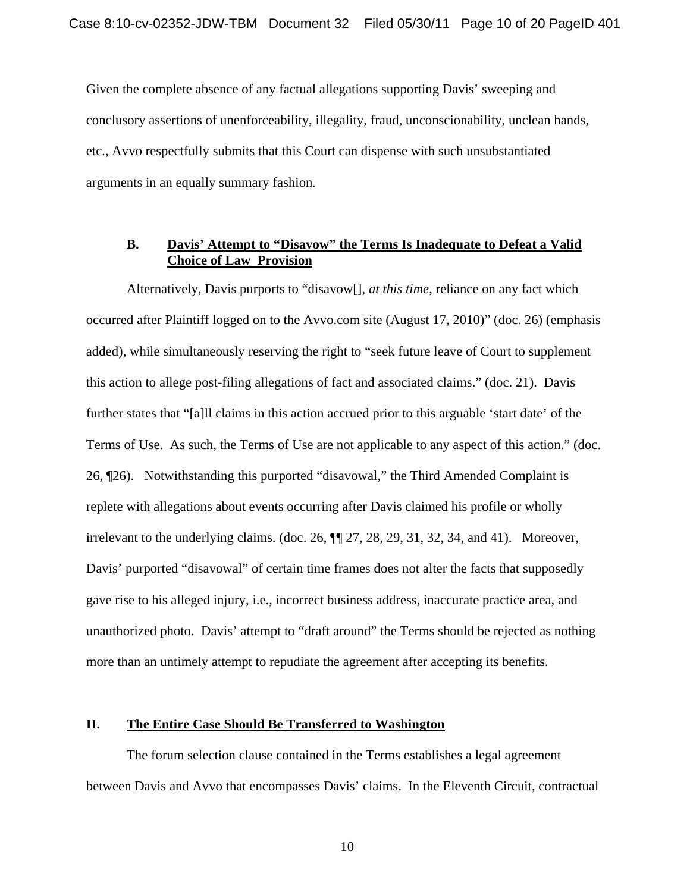Given the complete absence of any factual allegations supporting Davis' sweeping and conclusory assertions of unenforceability, illegality, fraud, unconscionability, unclean hands, etc., Avvo respectfully submits that this Court can dispense with such unsubstantiated arguments in an equally summary fashion.

## **B. Davis' Attempt to "Disavow" the Terms Is Inadequate to Defeat a Valid Choice of Law Provision**

Alternatively, Davis purports to "disavow[], *at this time*, reliance on any fact which occurred after Plaintiff logged on to the Avvo.com site (August 17, 2010)" (doc. 26) (emphasis added), while simultaneously reserving the right to "seek future leave of Court to supplement this action to allege post-filing allegations of fact and associated claims." (doc. 21). Davis further states that "[a]ll claims in this action accrued prior to this arguable 'start date' of the Terms of Use. As such, the Terms of Use are not applicable to any aspect of this action." (doc. 26, ¶26). Notwithstanding this purported "disavowal," the Third Amended Complaint is replete with allegations about events occurring after Davis claimed his profile or wholly irrelevant to the underlying claims. (doc. 26, ¶¶ 27, 28, 29, 31, 32, 34, and 41). Moreover, Davis' purported "disavowal" of certain time frames does not alter the facts that supposedly gave rise to his alleged injury, i.e., incorrect business address, inaccurate practice area, and unauthorized photo. Davis' attempt to "draft around" the Terms should be rejected as nothing more than an untimely attempt to repudiate the agreement after accepting its benefits.

## **II. The Entire Case Should Be Transferred to Washington**

The forum selection clause contained in the Terms establishes a legal agreement between Davis and Avvo that encompasses Davis' claims. In the Eleventh Circuit, contractual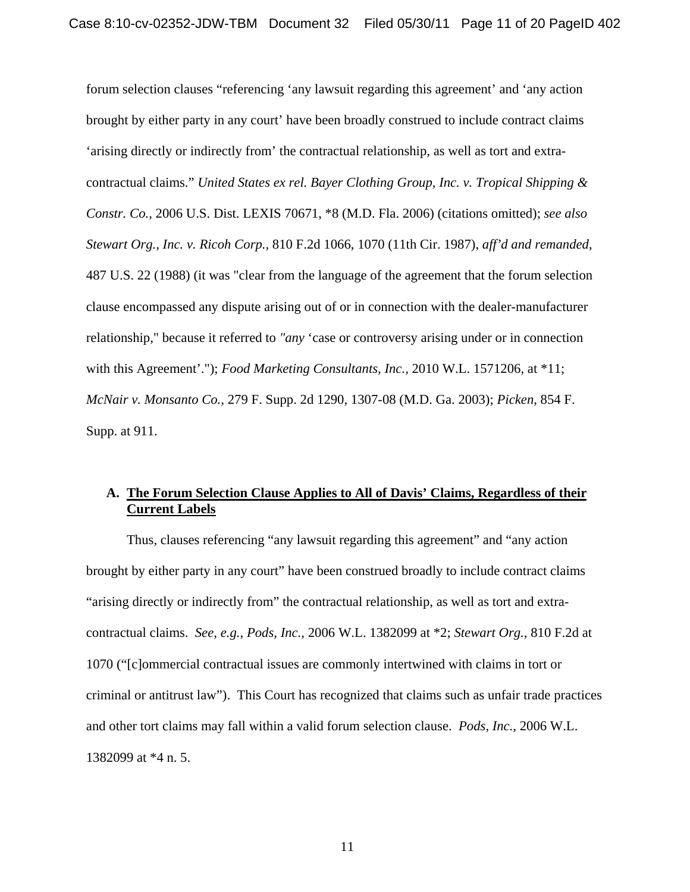forum selection clauses "referencing 'any lawsuit regarding this agreement' and 'any action brought by either party in any court' have been broadly construed to include contract claims 'arising directly or indirectly from' the contractual relationship, as well as tort and extracontractual claims." *United States ex rel. Bayer Clothing Group, Inc. v. Tropical Shipping & Constr. Co.,* 2006 U.S. Dist. LEXIS 70671, \*8 (M.D. Fla. 2006) (citations omitted); *see also Stewart Org., Inc. v. Ricoh Corp.,* 810 F.2d 1066, 1070 (11th Cir. 1987), *aff'd and remanded*, 487 U.S. 22 (1988) (it was "clear from the language of the agreement that the forum selection clause encompassed any dispute arising out of or in connection with the dealer-manufacturer relationship," because it referred to *"any* 'case or controversy arising under or in connection with this Agreement'."); *Food Marketing Consultants, Inc.,* 2010 W.L. 1571206, at \*11; *McNair v. Monsanto Co.,* 279 F. Supp. 2d 1290, 1307-08 (M.D. Ga. 2003); *Picken*, 854 F. Supp. at 911.

# **A. The Forum Selection Clause Applies to All of Davis' Claims, Regardless of their Current Labels**

Thus, clauses referencing "any lawsuit regarding this agreement" and "any action brought by either party in any court" have been construed broadly to include contract claims "arising directly or indirectly from" the contractual relationship, as well as tort and extracontractual claims. *See, e.g., Pods, Inc.,* 2006 W.L. 1382099 at \*2; *Stewart Org.,* 810 F.2d at 1070 ("[c]ommercial contractual issues are commonly intertwined with claims in tort or criminal or antitrust law"). This Court has recognized that claims such as unfair trade practices and other tort claims may fall within a valid forum selection clause. *Pods, Inc.,* 2006 W.L. 1382099 at \*4 n. 5.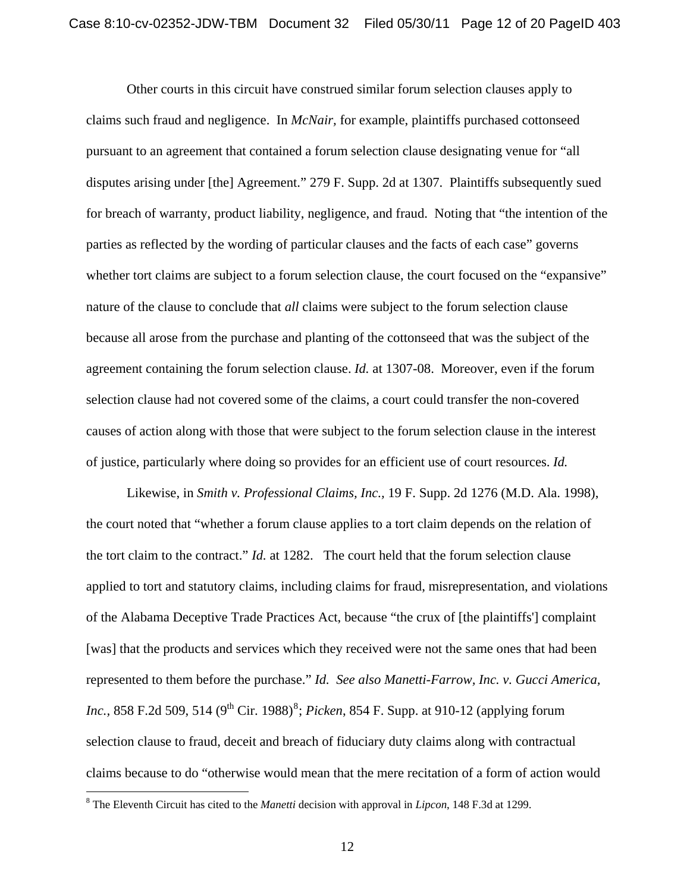Other courts in this circuit have construed similar forum selection clauses apply to claims such fraud and negligence. In *McNair,* for example, plaintiffs purchased cottonseed pursuant to an agreement that contained a forum selection clause designating venue for "all disputes arising under [the] Agreement." 279 F. Supp. 2d at 1307. Plaintiffs subsequently sued for breach of warranty, product liability, negligence, and fraud. Noting that "the intention of the parties as reflected by the wording of particular clauses and the facts of each case" governs whether tort claims are subject to a forum selection clause, the court focused on the "expansive" nature of the clause to conclude that *all* claims were subject to the forum selection clause because all arose from the purchase and planting of the cottonseed that was the subject of the agreement containing the forum selection clause. *Id.* at 1307-08. Moreover, even if the forum selection clause had not covered some of the claims, a court could transfer the non-covered causes of action along with those that were subject to the forum selection clause in the interest of justice, particularly where doing so provides for an efficient use of court resources. *Id.*

Likewise, in *Smith v. Professional Claims, Inc.,* 19 F. Supp. 2d 1276 (M.D. Ala. 1998), the court noted that "whether a forum clause applies to a tort claim depends on the relation of the tort claim to the contract." *Id.* at 1282. The court held that the forum selection clause applied to tort and statutory claims, including claims for fraud, misrepresentation, and violations of the Alabama Deceptive Trade Practices Act, because "the crux of [the plaintiffs'] complaint [was] that the products and services which they received were not the same ones that had been represented to them before the purchase." *Id. See also Manetti-Farrow, Inc. v. Gucci America, Inc.*, [8](#page-6-0)58 F.2d 509, 514 (9<sup>th</sup> Cir. 1988)<sup>8</sup>; *Picken*, 854 F. Supp. at 910-12 (applying forum selection clause to fraud, deceit and breach of fiduciary duty claims along with contractual claims because to do "otherwise would mean that the mere recitation of a form of action would

 $\overline{a}$ 

<span id="page-11-0"></span><sup>8</sup> The Eleventh Circuit has cited to the *Manetti* decision with approval in *Lipcon*, 148 F.3d at 1299.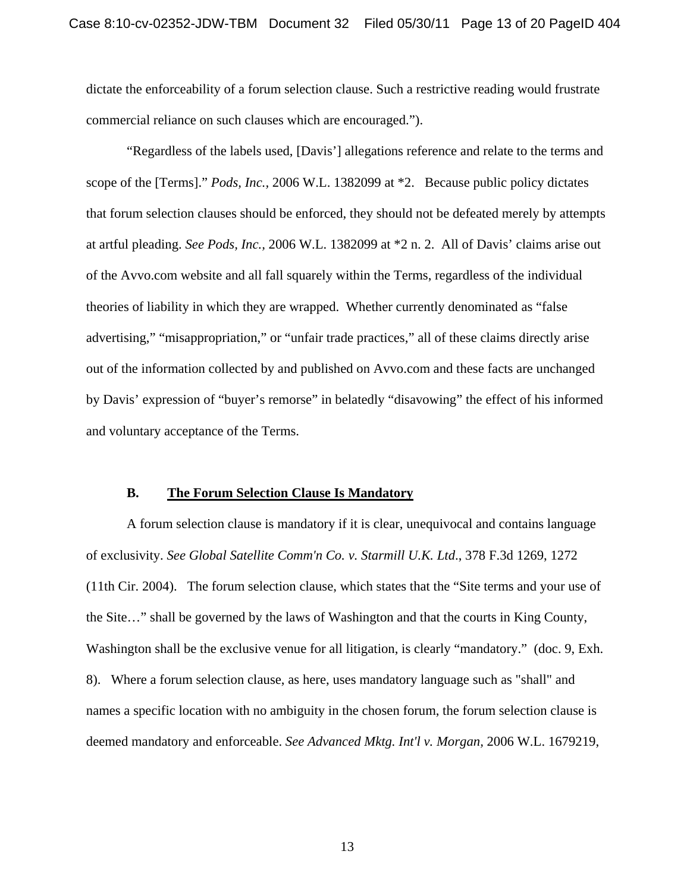dictate the enforceability of a forum selection clause. Such a restrictive reading would frustrate commercial reliance on such clauses which are encouraged.").

"Regardless of the labels used, [Davis'] allegations reference and relate to the terms and scope of the [Terms]." *Pods, Inc.,* 2006 W.L. 1382099 at \*2. Because public policy dictates that forum selection clauses should be enforced, they should not be defeated merely by attempts at artful pleading. *See Pods, Inc.,* 2006 W.L. 1382099 at \*2 n. 2. All of Davis' claims arise out of the Avvo.com website and all fall squarely within the Terms, regardless of the individual theories of liability in which they are wrapped. Whether currently denominated as "false advertising," "misappropriation," or "unfair trade practices," all of these claims directly arise out of the information collected by and published on Avvo.com and these facts are unchanged by Davis' expression of "buyer's remorse" in belatedly "disavowing" the effect of his informed and voluntary acceptance of the Terms.

#### **B. The Forum Selection Clause Is Mandatory**

A forum selection clause is mandatory if it is clear, unequivocal and contains language of exclusivity. *See Global Satellite Comm'n Co. v. Starmill U.K. Ltd*., 378 F.3d 1269, 1272 (11th Cir. 2004). The forum selection clause, which states that the "Site terms and your use of the Site…" shall be governed by the laws of Washington and that the courts in King County, Washington shall be the exclusive venue for all litigation, is clearly "mandatory." (doc. 9, Exh. 8). Where a forum selection clause, as here, uses mandatory language such as "shall" and names a specific location with no ambiguity in the chosen forum, the forum selection clause is deemed mandatory and enforceable. *See Advanced Mktg. Int'l v. Morgan,* 2006 W.L. 1679219,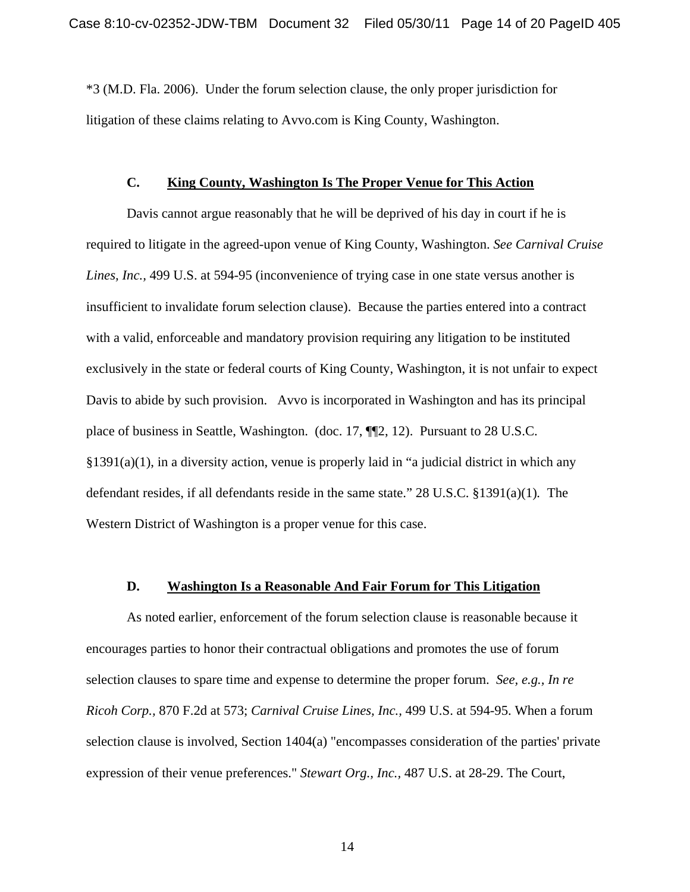\*3 (M.D. Fla. 2006). Under the forum selection clause, the only proper jurisdiction for litigation of these claims relating to Avvo.com is King County, Washington.

### **C. King County, Washington Is The Proper Venue for This Action**

Davis cannot argue reasonably that he will be deprived of his day in court if he is required to litigate in the agreed-upon venue of King County, Washington. *See Carnival Cruise Lines, Inc.,* 499 U.S. at 594-95 (inconvenience of trying case in one state versus another is insufficient to invalidate forum selection clause). Because the parties entered into a contract with a valid, enforceable and mandatory provision requiring any litigation to be instituted exclusively in the state or federal courts of King County, Washington, it is not unfair to expect Davis to abide by such provision. Avvo is incorporated in Washington and has its principal place of business in Seattle, Washington. (doc. 17, ¶¶2, 12). Pursuant to 28 U.S.C.  $§1391(a)(1)$ , in a diversity action, venue is properly laid in "a judicial district in which any defendant resides, if all defendants reside in the same state." 28 U.S.C. §1391(a)(1)*.* The Western District of Washington is a proper venue for this case.

#### **D. Washington Is a Reasonable And Fair Forum for This Litigation**

 As noted earlier, enforcement of the forum selection clause is reasonable because it encourages parties to honor their contractual obligations and promotes the use of forum selection clauses to spare time and expense to determine the proper forum. *See, e.g., In re Ricoh Corp.,* 870 F.2d at 573; *Carnival Cruise Lines, Inc.,* 499 U.S. at 594-95. When a forum selection clause is involved, Section 1404(a) "encompasses consideration of the parties' private expression of their venue preferences." *Stewart Org., Inc.,* 487 U.S. at 28-29. The Court,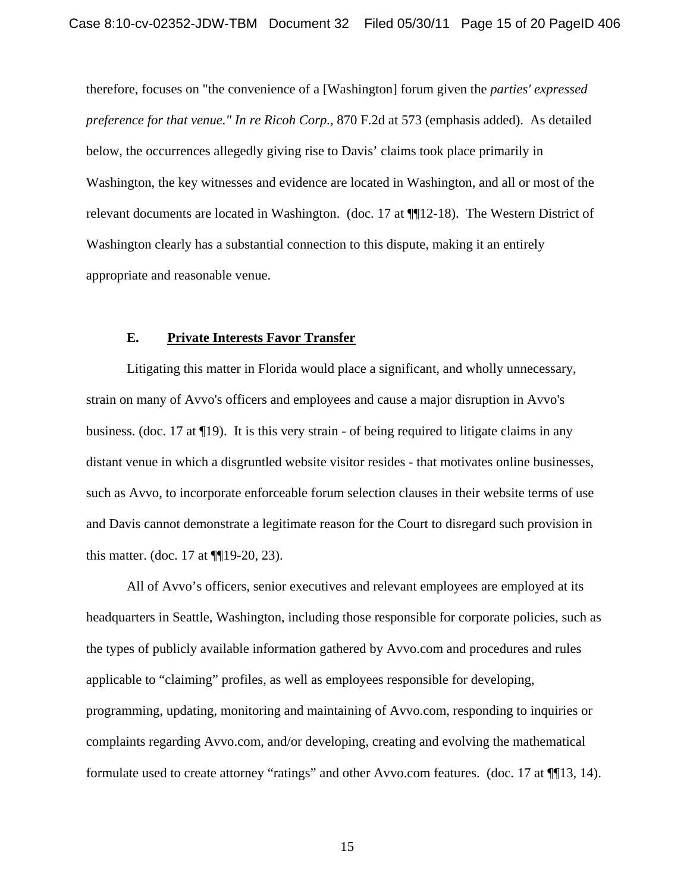therefore, focuses on "the convenience of a [Washington] forum given the *parties' expressed preference for that venue." In re Ricoh Corp.,* 870 F.2d at 573 (emphasis added). As detailed below, the occurrences allegedly giving rise to Davis' claims took place primarily in Washington, the key witnesses and evidence are located in Washington, and all or most of the relevant documents are located in Washington. (doc. 17 at ¶¶12-18). The Western District of Washington clearly has a substantial connection to this dispute, making it an entirely appropriate and reasonable venue.

#### **E. Private Interests Favor Transfer**

Litigating this matter in Florida would place a significant, and wholly unnecessary, strain on many of Avvo's officers and employees and cause a major disruption in Avvo's business. (doc. 17 at ¶19). It is this very strain - of being required to litigate claims in any distant venue in which a disgruntled website visitor resides - that motivates online businesses, such as Avvo, to incorporate enforceable forum selection clauses in their website terms of use and Davis cannot demonstrate a legitimate reason for the Court to disregard such provision in this matter. (doc. 17 at ¶¶19-20, 23).

All of Avvo's officers, senior executives and relevant employees are employed at its headquarters in Seattle, Washington, including those responsible for corporate policies, such as the types of publicly available information gathered by Avvo.com and procedures and rules applicable to "claiming" profiles, as well as employees responsible for developing, programming, updating, monitoring and maintaining of Avvo.com, responding to inquiries or complaints regarding Avvo.com, and/or developing, creating and evolving the mathematical formulate used to create attorney "ratings" and other Avvo.com features. (doc. 17 at ¶¶13, 14).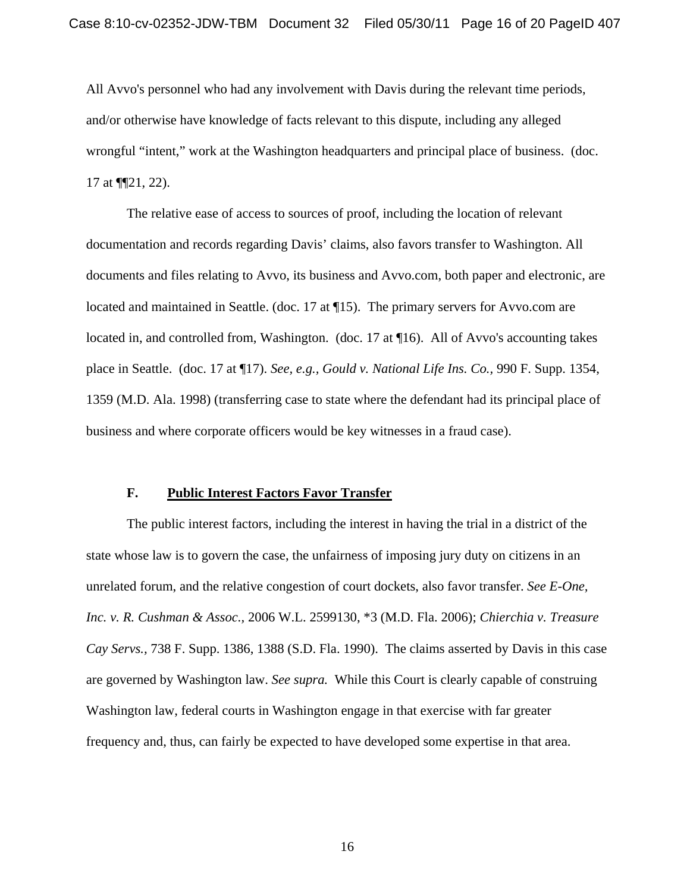All Avvo's personnel who had any involvement with Davis during the relevant time periods, and/or otherwise have knowledge of facts relevant to this dispute, including any alleged wrongful "intent," work at the Washington headquarters and principal place of business. (doc. 17 at  $\P$ [21, 22).

The relative ease of access to sources of proof, including the location of relevant documentation and records regarding Davis' claims, also favors transfer to Washington. All documents and files relating to Avvo, its business and Avvo.com, both paper and electronic, are located and maintained in Seattle. (doc. 17 at  $\P$ 15). The primary servers for Avvo.com are located in, and controlled from, Washington. (doc. 17 at ¶16). All of Avvo's accounting takes place in Seattle. (doc. 17 at ¶17). *See, e.g., Gould v. National Life Ins. Co.,* 990 F. Supp. 1354, 1359 (M.D. Ala. 1998) (transferring case to state where the defendant had its principal place of business and where corporate officers would be key witnesses in a fraud case).

## **F. Public Interest Factors Favor Transfer**

The public interest factors, including the interest in having the trial in a district of the state whose law is to govern the case, the unfairness of imposing jury duty on citizens in an unrelated forum, and the relative congestion of court dockets, also favor transfer. *See E-One, Inc. v. R. Cushman & Assoc.,* 2006 W.L. 2599130, \*3 (M.D. Fla. 2006); *Chierchia v. Treasure Cay Servs.,* 738 F. Supp. 1386, 1388 (S.D. Fla. 1990). The claims asserted by Davis in this case are governed by Washington law. *See supra.* While this Court is clearly capable of construing Washington law, federal courts in Washington engage in that exercise with far greater frequency and, thus, can fairly be expected to have developed some expertise in that area.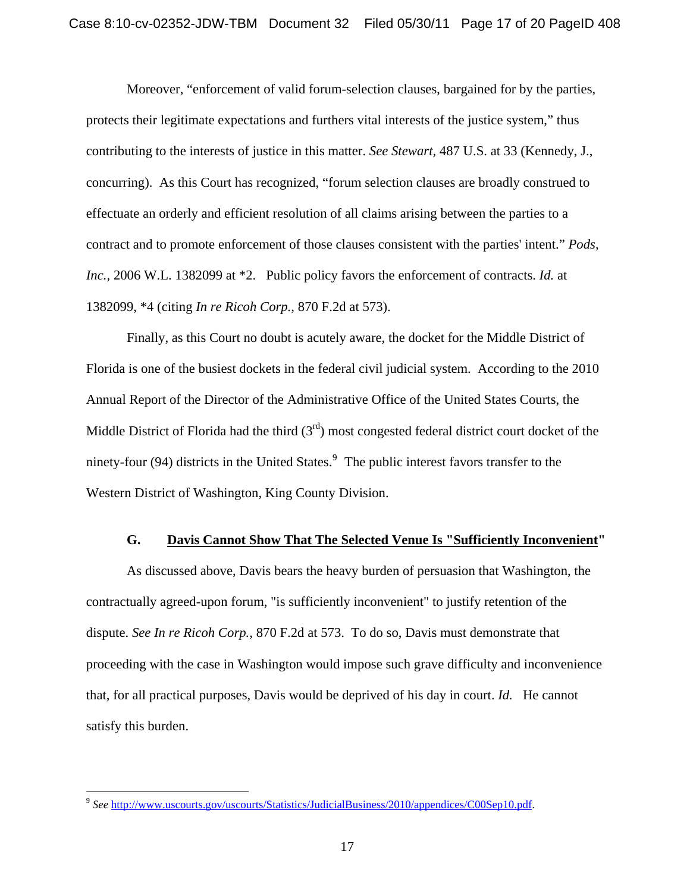Moreover, "enforcement of valid forum-selection clauses, bargained for by the parties, protects their legitimate expectations and furthers vital interests of the justice system," thus contributing to the interests of justice in this matter. *See Stewart,* 487 U.S. at 33 (Kennedy, J., concurring). As this Court has recognized, "forum selection clauses are broadly construed to effectuate an orderly and efficient resolution of all claims arising between the parties to a contract and to promote enforcement of those clauses consistent with the parties' intent." *Pods, Inc.,* 2006 W.L. 1382099 at \*2. Public policy favors the enforcement of contracts. *Id.* at 1382099, \*4 (citing *In re Ricoh Corp.,* 870 F.2d at 573).

Finally, as this Court no doubt is acutely aware, the docket for the Middle District of Florida is one of the busiest dockets in the federal civil judicial system. According to the 2010 Annual Report of the Director of the Administrative Office of the United States Courts, the Middle District of Florida had the third  $(3<sup>rd</sup>)$  most congested federal district court docket of the ninety-four ([9](#page-11-0)4) districts in the United States.<sup>9</sup> The public interest favors transfer to the Western District of Washington, King County Division.

## **G. Davis Cannot Show That The Selected Venue Is "Sufficiently Inconvenient"**

As discussed above, Davis bears the heavy burden of persuasion that Washington, the contractually agreed-upon forum, "is sufficiently inconvenient" to justify retention of the dispute. *See In re Ricoh Corp.,* 870 F.2d at 573. To do so, Davis must demonstrate that proceeding with the case in Washington would impose such grave difficulty and inconvenience that, for all practical purposes, Davis would be deprived of his day in court. *Id.* He cannot satisfy this burden.

<u>.</u>

<sup>9</sup> *See* <http://www.uscourts.gov/uscourts/Statistics/JudicialBusiness/2010/appendices/C00Sep10.pdf>.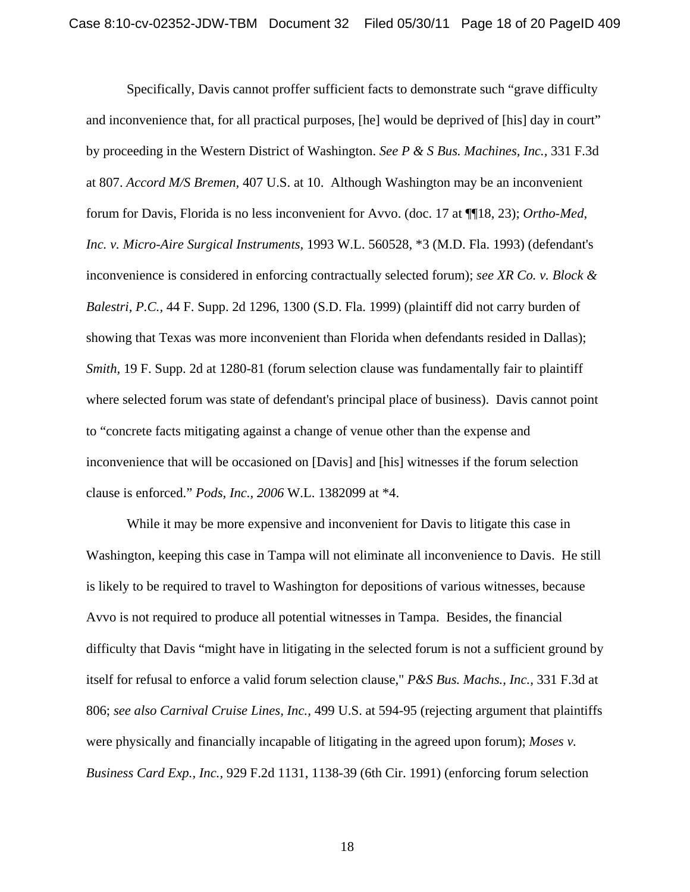Specifically, Davis cannot proffer sufficient facts to demonstrate such "grave difficulty and inconvenience that, for all practical purposes, [he] would be deprived of [his] day in court" by proceeding in the Western District of Washington. *See P & S Bus. Machines, Inc.,* 331 F.3d at 807. *Accord M/S Bremen,* 407 U.S. at 10. Although Washington may be an inconvenient forum for Davis, Florida is no less inconvenient for Avvo. (doc. 17 at ¶¶18, 23); *Ortho-Med, Inc. v. Micro-Aire Surgical Instruments,* 1993 W.L. 560528, \*3 (M.D. Fla. 1993) (defendant's inconvenience is considered in enforcing contractually selected forum); *see XR Co. v. Block & Balestri, P.C.,* 44 F. Supp. 2d 1296, 1300 (S.D. Fla. 1999) (plaintiff did not carry burden of showing that Texas was more inconvenient than Florida when defendants resided in Dallas); *Smith,* 19 F. Supp. 2d at 1280-81 (forum selection clause was fundamentally fair to plaintiff where selected forum was state of defendant's principal place of business). Davis cannot point to "concrete facts mitigating against a change of venue other than the expense and inconvenience that will be occasioned on [Davis] and [his] witnesses if the forum selection clause is enforced." *Pods, Inc., 2006* W.L. 1382099 at \*4.

While it may be more expensive and inconvenient for Davis to litigate this case in Washington, keeping this case in Tampa will not eliminate all inconvenience to Davis. He still is likely to be required to travel to Washington for depositions of various witnesses, because Avvo is not required to produce all potential witnesses in Tampa. Besides, the financial difficulty that Davis "might have in litigating in the selected forum is not a sufficient ground by itself for refusal to enforce a valid forum selection clause," *P&S Bus. Machs., Inc.,* 331 F.3d at 806; *see also Carnival Cruise Lines, Inc.,* 499 U.S. at 594-95 (rejecting argument that plaintiffs were physically and financially incapable of litigating in the agreed upon forum); *Moses v. Business Card Exp., Inc.,* 929 F.2d 1131, 1138-39 (6th Cir. 1991) (enforcing forum selection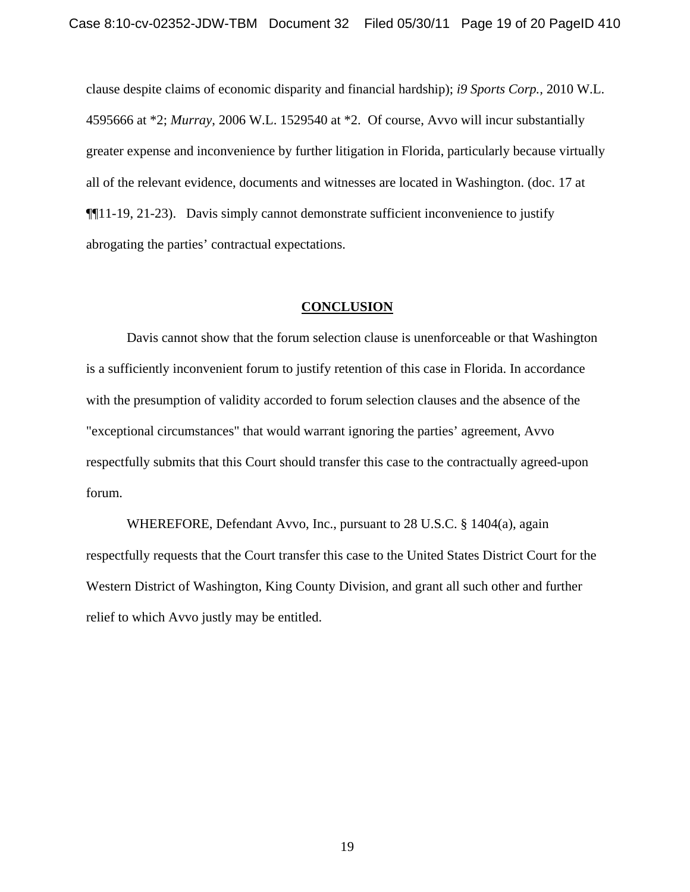clause despite claims of economic disparity and financial hardship); *i9 Sports Corp.,* 2010 W.L. 4595666 at \*2; *Murray*, 2006 W.L. 1529540 at \*2. Of course, Avvo will incur substantially greater expense and inconvenience by further litigation in Florida, particularly because virtually all of the relevant evidence, documents and witnesses are located in Washington. (doc. 17 at ¶¶11-19, 21-23). Davis simply cannot demonstrate sufficient inconvenience to justify abrogating the parties' contractual expectations.

### **CONCLUSION**

Davis cannot show that the forum selection clause is unenforceable or that Washington is a sufficiently inconvenient forum to justify retention of this case in Florida. In accordance with the presumption of validity accorded to forum selection clauses and the absence of the "exceptional circumstances" that would warrant ignoring the parties' agreement, Avvo respectfully submits that this Court should transfer this case to the contractually agreed-upon forum.

WHEREFORE, Defendant Avvo, Inc., pursuant to 28 U.S.C. § 1404(a), again respectfully requests that the Court transfer this case to the United States District Court for the Western District of Washington, King County Division, and grant all such other and further relief to which Avvo justly may be entitled.